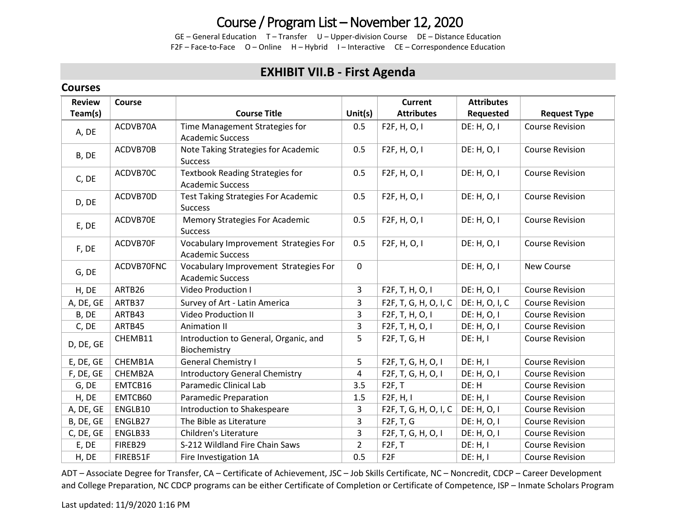## Course / Program List – November 12, 2020

GE – General Education T – Transfer U – Upper-division Course DE – Distance Education F2F – Face-to-Face O – Online H – Hybrid I – Interactive CE – Correspondence Education

### **EXHIBIT VII.B - First Agenda**

#### **Courses**

| <b>Review</b> | Course     |                                                                   |                | <b>Current</b>        | <b>Attributes</b> |                        |  |
|---------------|------------|-------------------------------------------------------------------|----------------|-----------------------|-------------------|------------------------|--|
| Team(s)       |            | <b>Course Title</b>                                               | Unit $(s)$     | <b>Attributes</b>     | Requested         | <b>Request Type</b>    |  |
| A, DE         | ACDVB70A   | Time Management Strategies for<br><b>Academic Success</b>         | 0.5            | F2F, H, O, I          | DE: H, O, I       | <b>Course Revision</b> |  |
| B, DE         | ACDVB70B   | Note Taking Strategies for Academic<br><b>Success</b>             | 0.5            | F2F, H, O, I          | DE: H, O, I       | <b>Course Revision</b> |  |
| C, DE         | ACDVB70C   | <b>Textbook Reading Strategies for</b><br><b>Academic Success</b> | 0.5            | F2F, H, O, I          | DE: H, O, I       | <b>Course Revision</b> |  |
| D, DE         | ACDVB70D   | <b>Test Taking Strategies For Academic</b><br><b>Success</b>      | 0.5            | F2F, H, O, I          | DE: H, O, I       | <b>Course Revision</b> |  |
| E, DE         | ACDVB70E   | <b>Memory Strategies For Academic</b><br><b>Success</b>           | 0.5            | F2F, H, O, I          | DE: H, O, I       | <b>Course Revision</b> |  |
| F, DE         | ACDVB70F   | Vocabulary Improvement Strategies For<br><b>Academic Success</b>  | 0.5            | F2F, H, O, I          | DE: H, O, I       | <b>Course Revision</b> |  |
| G, DE         | ACDVB70FNC | Vocabulary Improvement Strategies For<br><b>Academic Success</b>  | $\mathbf 0$    |                       | DE: H, O, I       | New Course             |  |
| H, DE         | ARTB26     | Video Production I                                                | 3              | F2F, T, H, O, I       | DE: H, O, I       | <b>Course Revision</b> |  |
| A, DE, GE     | ARTB37     | Survey of Art - Latin America                                     | 3              | F2F, T, G, H, O, I, C | DE: H, O, I, C    | <b>Course Revision</b> |  |
| B, DE         | ARTB43     | <b>Video Production II</b>                                        | $\overline{3}$ | F2F, T, H, O, I       | DE: H, O, I       | <b>Course Revision</b> |  |
| C, DE         | ARTB45     | Animation II                                                      | 3              | F2F, T, H, O, I       | DE: H, O, I       | <b>Course Revision</b> |  |
| D, DE, GE     | CHEMB11    | Introduction to General, Organic, and<br>Biochemistry             | 5              | F2F, T, G, H          | DE: H, I          | <b>Course Revision</b> |  |
| E, DE, GE     | CHEMB1A    | <b>General Chemistry I</b>                                        | 5              | F2F, T, G, H, O, I    | DE: H, I          | <b>Course Revision</b> |  |
| F, DE, GE     | CHEMB2A    | <b>Introductory General Chemistry</b>                             | $\overline{4}$ | F2F, T, G, H, O, I    | DE: H, O, I       | <b>Course Revision</b> |  |
| G, DE         | EMTCB16    | Paramedic Clinical Lab                                            | 3.5            | F2F, T                | DE: H             | <b>Course Revision</b> |  |
| H, DE         | EMTCB60    | <b>Paramedic Preparation</b>                                      | 1.5            | F2F, H, I             | DE: H, I          | <b>Course Revision</b> |  |
| A, DE, GE     | ENGLB10    | Introduction to Shakespeare                                       | 3              | F2F, T, G, H, O, I, C | DE: H, O, I       | <b>Course Revision</b> |  |
| B, DE, GE     | ENGLB27    | The Bible as Literature                                           | 3              | F2F, T, G             | DE: H, O, I       | <b>Course Revision</b> |  |
| C, DE, GE     | ENGLB33    | <b>Children's Literature</b>                                      | 3              | F2F, T, G, H, O, I    | DE: H, O, I       | <b>Course Revision</b> |  |
| E, DE         | FIREB29    | S-212 Wildland Fire Chain Saws                                    | $\overline{2}$ | F2F, T                | DE: H, I          | <b>Course Revision</b> |  |
| H, DE         | FIREB51F   | Fire Investigation 1A                                             | 0.5            | F <sub>2F</sub>       | DE: H, I          | <b>Course Revision</b> |  |

ADT – Associate Degree for Transfer, CA – Certificate of Achievement, JSC – Job Skills Certificate, NC – Noncredit, CDCP – Career Development and College Preparation, NC CDCP programs can be either Certificate of Completion or Certificate of Competence, ISP – Inmate Scholars Program